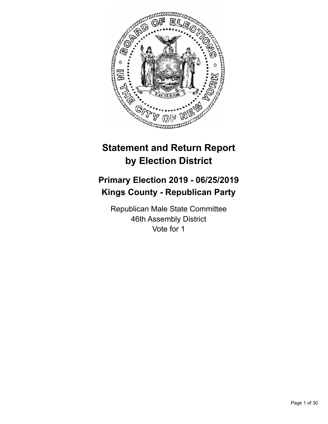

# **Statement and Return Report by Election District**

# **Primary Election 2019 - 06/25/2019 Kings County - Republican Party**

Republican Male State Committee 46th Assembly District Vote for 1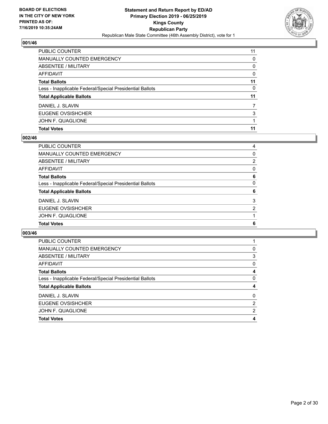

| PUBLIC COUNTER                                           | 11       |
|----------------------------------------------------------|----------|
| <b>MANUALLY COUNTED EMERGENCY</b>                        | 0        |
| ABSENTEE / MILITARY                                      | 0        |
| AFFIDAVIT                                                | $\Omega$ |
| <b>Total Ballots</b>                                     | 11       |
| Less - Inapplicable Federal/Special Presidential Ballots | 0        |
| <b>Total Applicable Ballots</b>                          | 11       |
| DANIEL J. SLAVIN                                         |          |
| EUGENE OVSISHCHER                                        | 3        |
| JOHN F. QUAGLIONE                                        |          |
| <b>Total Votes</b>                                       | 11       |

## **002/46**

| PUBLIC COUNTER                                           | 4        |
|----------------------------------------------------------|----------|
| MANUALLY COUNTED EMERGENCY                               | 0        |
| ABSENTEE / MILITARY                                      | 2        |
| AFFIDAVIT                                                | $\Omega$ |
| Total Ballots                                            | 6        |
| Less - Inapplicable Federal/Special Presidential Ballots | 0        |
| <b>Total Applicable Ballots</b>                          | 6        |
| DANIEL J. SLAVIN                                         | 3        |
| EUGENE OVSISHCHER                                        | 2        |
| JOHN F. QUAGLIONE                                        |          |
| <b>Total Votes</b>                                       | 6        |

| PUBLIC COUNTER                                           |   |
|----------------------------------------------------------|---|
| <b>MANUALLY COUNTED EMERGENCY</b>                        | 0 |
| ABSENTEE / MILITARY                                      | 3 |
| AFFIDAVIT                                                | 0 |
| <b>Total Ballots</b>                                     | 4 |
| Less - Inapplicable Federal/Special Presidential Ballots | 0 |
| <b>Total Applicable Ballots</b>                          |   |
| DANIEL J. SLAVIN                                         | 0 |
| EUGENE OVSISHCHER                                        | 2 |
| JOHN F. QUAGLIONE                                        | 2 |
| <b>Total Votes</b>                                       |   |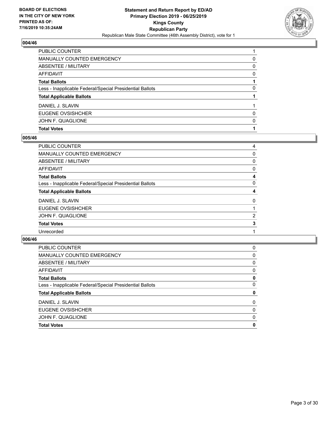

| PUBLIC COUNTER                                           |          |
|----------------------------------------------------------|----------|
| <b>MANUALLY COUNTED EMERGENCY</b>                        | 0        |
| <b>ABSENTEE / MILITARY</b>                               | $\Omega$ |
| <b>AFFIDAVIT</b>                                         | $\Omega$ |
| <b>Total Ballots</b>                                     |          |
| Less - Inapplicable Federal/Special Presidential Ballots | 0        |
| <b>Total Applicable Ballots</b>                          |          |
| DANIEL J. SLAVIN                                         |          |
| EUGENE OVSISHCHER                                        | 0        |
| JOHN F. QUAGLIONE                                        | $\Omega$ |
| <b>Total Votes</b>                                       |          |

## **005/46**

| PUBLIC COUNTER                                           | 4 |
|----------------------------------------------------------|---|
| <b>MANUALLY COUNTED EMERGENCY</b>                        | 0 |
| ABSENTEE / MILITARY                                      | 0 |
| AFFIDAVIT                                                | 0 |
| <b>Total Ballots</b>                                     | 4 |
| Less - Inapplicable Federal/Special Presidential Ballots | 0 |
| <b>Total Applicable Ballots</b>                          | 4 |
| DANIEL J. SLAVIN                                         | 0 |
| <b>EUGENE OVSISHCHER</b>                                 |   |
| JOHN F. QUAGLIONE                                        | 2 |
| <b>Total Votes</b>                                       | 3 |
| Unrecorded                                               |   |
|                                                          |   |

| PUBLIC COUNTER                                           | 0        |
|----------------------------------------------------------|----------|
| <b>MANUALLY COUNTED EMERGENCY</b>                        | 0        |
| ABSENTEE / MILITARY                                      | $\Omega$ |
| AFFIDAVIT                                                | $\Omega$ |
| <b>Total Ballots</b>                                     | 0        |
| Less - Inapplicable Federal/Special Presidential Ballots | 0        |
| <b>Total Applicable Ballots</b>                          | 0        |
| DANIEL J. SLAVIN                                         | 0        |
| EUGENE OVSISHCHER                                        | 0        |
| JOHN F. QUAGLIONE                                        | $\Omega$ |
| <b>Total Votes</b>                                       | 0        |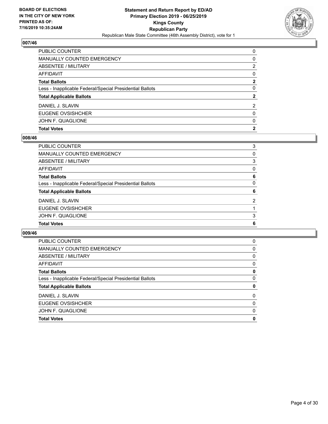

| PUBLIC COUNTER                                           | $\Omega$     |
|----------------------------------------------------------|--------------|
| <b>MANUALLY COUNTED EMERGENCY</b>                        | 0            |
| <b>ABSENTEE / MILITARY</b>                               | 2            |
| <b>AFFIDAVIT</b>                                         | $\Omega$     |
| <b>Total Ballots</b>                                     | $\mathbf{2}$ |
| Less - Inapplicable Federal/Special Presidential Ballots | $\Omega$     |
| <b>Total Applicable Ballots</b>                          | $\mathbf{2}$ |
| DANIEL J. SLAVIN                                         | 2            |
| EUGENE OVSISHCHER                                        | $\Omega$     |
| JOHN F. QUAGLIONE                                        | $\mathbf{0}$ |
| <b>Total Votes</b>                                       | $\mathbf{2}$ |

## **008/46**

| 3              |
|----------------|
| 0              |
| 3              |
| $\Omega$       |
| 6              |
| $\Omega$       |
| 6              |
| $\overline{2}$ |
|                |
| 3              |
| 6              |
|                |

| <b>PUBLIC COUNTER</b>                                    | 0 |
|----------------------------------------------------------|---|
| MANUALLY COUNTED EMERGENCY                               | 0 |
| ABSENTEE / MILITARY                                      | 0 |
| AFFIDAVIT                                                | 0 |
| <b>Total Ballots</b>                                     | 0 |
| Less - Inapplicable Federal/Special Presidential Ballots | 0 |
| <b>Total Applicable Ballots</b>                          | 0 |
| DANIEL J. SLAVIN                                         | 0 |
| EUGENE OVSISHCHER                                        | 0 |
| JOHN F. QUAGLIONE                                        | 0 |
| <b>Total Votes</b>                                       | 0 |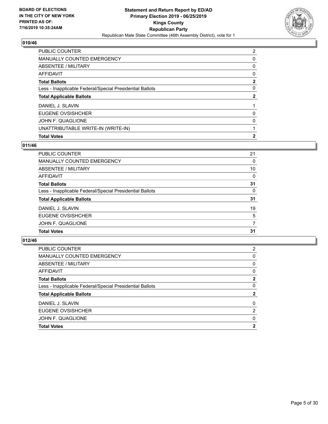

| <b>PUBLIC COUNTER</b>                                    | $\overline{2}$ |
|----------------------------------------------------------|----------------|
| MANUALLY COUNTED EMERGENCY                               | 0              |
| <b>ABSENTEE / MILITARY</b>                               | 0              |
| AFFIDAVIT                                                | 0              |
| <b>Total Ballots</b>                                     | 2              |
| Less - Inapplicable Federal/Special Presidential Ballots | 0              |
| <b>Total Applicable Ballots</b>                          | $\mathbf{2}$   |
| DANIEL J. SLAVIN                                         |                |
| EUGENE OVSISHCHER                                        | 0              |
| JOHN F. QUAGLIONE                                        | 0              |
| UNATTRIBUTABLE WRITE-IN (WRITE-IN)                       |                |
| <b>Total Votes</b>                                       | $\mathbf{2}$   |

# **011/46**

| <b>PUBLIC COUNTER</b>                                    | 21       |
|----------------------------------------------------------|----------|
| <b>MANUALLY COUNTED EMERGENCY</b>                        | $\Omega$ |
| ABSENTEE / MILITARY                                      | 10       |
| <b>AFFIDAVIT</b>                                         | $\Omega$ |
| <b>Total Ballots</b>                                     | 31       |
| Less - Inapplicable Federal/Special Presidential Ballots | $\Omega$ |
| <b>Total Applicable Ballots</b>                          | 31       |
| DANIEL J. SLAVIN                                         | 19       |
| EUGENE OVSISHCHER                                        | 5        |
| JOHN F. QUAGLIONE                                        | 7        |
| <b>Total Votes</b>                                       | 31       |
|                                                          |          |

| <b>Total Votes</b>                                       | 2             |
|----------------------------------------------------------|---------------|
| JOHN F. QUAGLIONE                                        | 0             |
| EUGENE OVSISHCHER                                        | $\mathcal{P}$ |
| DANIEL J. SLAVIN                                         | $\Omega$      |
| <b>Total Applicable Ballots</b>                          | 2             |
| Less - Inapplicable Federal/Special Presidential Ballots | 0             |
| <b>Total Ballots</b>                                     | 2             |
| AFFIDAVIT                                                | 0             |
| ABSENTEE / MILITARY                                      | 0             |
| <b>MANUALLY COUNTED EMERGENCY</b>                        | 0             |
| PUBLIC COUNTER                                           | 2             |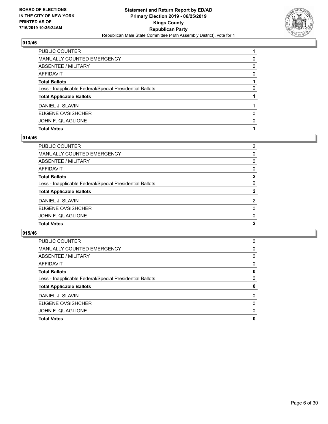

| PUBLIC COUNTER                                           |          |
|----------------------------------------------------------|----------|
| MANUALLY COUNTED EMERGENCY                               | 0        |
| <b>ABSENTEE / MILITARY</b>                               | $\Omega$ |
| <b>AFFIDAVIT</b>                                         | $\Omega$ |
| <b>Total Ballots</b>                                     |          |
| Less - Inapplicable Federal/Special Presidential Ballots | 0        |
| <b>Total Applicable Ballots</b>                          |          |
| DANIEL J. SLAVIN                                         |          |
| EUGENE OVSISHCHER                                        | 0        |
| JOHN F. QUAGLIONE                                        | $\Omega$ |
| <b>Total Votes</b>                                       |          |

## **014/46**

| PUBLIC COUNTER                                           | $\overline{2}$ |
|----------------------------------------------------------|----------------|
| <b>MANUALLY COUNTED EMERGENCY</b>                        | 0              |
| ABSENTEE / MILITARY                                      | 0              |
| AFFIDAVIT                                                | 0              |
| Total Ballots                                            | $\mathbf{2}$   |
| Less - Inapplicable Federal/Special Presidential Ballots | $\Omega$       |
| <b>Total Applicable Ballots</b>                          | $\mathbf{2}$   |
| DANIEL J. SLAVIN                                         | 2              |
| EUGENE OVSISHCHER                                        | 0              |
| JOHN F. QUAGLIONE                                        | $\Omega$       |
| <b>Total Votes</b>                                       | $\mathbf{2}$   |
|                                                          |                |

| <b>PUBLIC COUNTER</b>                                    | 0 |
|----------------------------------------------------------|---|
| <b>MANUALLY COUNTED EMERGENCY</b>                        | 0 |
| ABSENTEE / MILITARY                                      | 0 |
| <b>AFFIDAVIT</b>                                         | 0 |
| <b>Total Ballots</b>                                     | 0 |
| Less - Inapplicable Federal/Special Presidential Ballots | 0 |
| <b>Total Applicable Ballots</b>                          | 0 |
| DANIEL J. SLAVIN                                         | 0 |
| EUGENE OVSISHCHER                                        | 0 |
| JOHN F. QUAGLIONE                                        | 0 |
| <b>Total Votes</b>                                       | 0 |
|                                                          |   |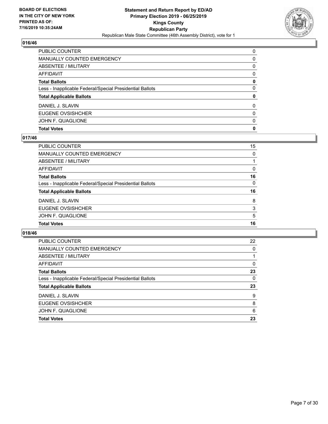

| PUBLIC COUNTER                                           | $\Omega$ |
|----------------------------------------------------------|----------|
| <b>MANUALLY COUNTED EMERGENCY</b>                        | 0        |
| <b>ABSENTEE / MILITARY</b>                               | $\Omega$ |
| <b>AFFIDAVIT</b>                                         | $\Omega$ |
| <b>Total Ballots</b>                                     | 0        |
| Less - Inapplicable Federal/Special Presidential Ballots | $\Omega$ |
| <b>Total Applicable Ballots</b>                          | 0        |
| DANIEL J. SLAVIN                                         | $\Omega$ |
| EUGENE OVSISHCHER                                        | $\Omega$ |
| JOHN F. QUAGLIONE                                        | $\Omega$ |
| <b>Total Votes</b>                                       | 0        |

## **017/46**

| PUBLIC COUNTER                                           | 15 |
|----------------------------------------------------------|----|
| MANUALLY COUNTED EMERGENCY                               | 0  |
| ABSENTEE / MILITARY                                      |    |
| AFFIDAVIT                                                | 0  |
| Total Ballots                                            | 16 |
| Less - Inapplicable Federal/Special Presidential Ballots | 0  |
| <b>Total Applicable Ballots</b>                          | 16 |
| DANIEL J. SLAVIN                                         | 8  |
| <b>EUGENE OVSISHCHER</b>                                 | 3  |
| JOHN F. QUAGLIONE                                        | 5  |
| <b>Total Votes</b>                                       | 16 |
|                                                          |    |

| <b>PUBLIC COUNTER</b>                                    | 22       |
|----------------------------------------------------------|----------|
| MANUALLY COUNTED EMERGENCY                               | 0        |
| ABSENTEE / MILITARY                                      |          |
| AFFIDAVIT                                                | $\Omega$ |
| <b>Total Ballots</b>                                     | 23       |
| Less - Inapplicable Federal/Special Presidential Ballots | $\Omega$ |
| <b>Total Applicable Ballots</b>                          | 23       |
| DANIEL J. SLAVIN                                         | 9        |
| EUGENE OVSISHCHER                                        | 8        |
| JOHN F. QUAGLIONE                                        | 6        |
| <b>Total Votes</b>                                       | 23       |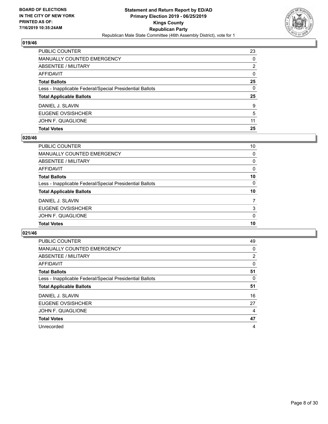

| PUBLIC COUNTER                                           | 23           |
|----------------------------------------------------------|--------------|
| <b>MANUALLY COUNTED EMERGENCY</b>                        | $\Omega$     |
| ABSENTEE / MILITARY                                      | 2            |
| <b>AFFIDAVIT</b>                                         | $\mathbf{0}$ |
| <b>Total Ballots</b>                                     | 25           |
| Less - Inapplicable Federal/Special Presidential Ballots | 0            |
| <b>Total Applicable Ballots</b>                          | 25           |
| DANIEL J. SLAVIN                                         | 9            |
| EUGENE OVSISHCHER                                        | 5            |
| JOHN F. QUAGLIONE                                        | 11           |
| <b>Total Votes</b>                                       | 25           |

## **020/46**

| PUBLIC COUNTER                                           | 10       |
|----------------------------------------------------------|----------|
| <b>MANUALLY COUNTED EMERGENCY</b>                        | 0        |
| <b>ABSENTEE / MILITARY</b>                               | 0        |
| <b>AFFIDAVIT</b>                                         | $\Omega$ |
| <b>Total Ballots</b>                                     | 10       |
| Less - Inapplicable Federal/Special Presidential Ballots | $\Omega$ |
| <b>Total Applicable Ballots</b>                          | 10       |
| DANIEL J. SLAVIN                                         | 7        |
| EUGENE OVSISHCHER                                        | 3        |
| JOHN F. QUAGLIONE                                        | $\Omega$ |
| <b>Total Votes</b>                                       | 10       |
|                                                          |          |

| <b>PUBLIC COUNTER</b>                                    | 49             |
|----------------------------------------------------------|----------------|
| MANUALLY COUNTED EMERGENCY                               | 0              |
| ABSENTEE / MILITARY                                      | $\overline{2}$ |
| AFFIDAVIT                                                | $\Omega$       |
| <b>Total Ballots</b>                                     | 51             |
| Less - Inapplicable Federal/Special Presidential Ballots | 0              |
| <b>Total Applicable Ballots</b>                          | 51             |
| DANIEL J. SLAVIN                                         | 16             |
| EUGENE OVSISHCHER                                        | 27             |
| JOHN F. QUAGLIONE                                        | 4              |
| <b>Total Votes</b>                                       | 47             |
| Unrecorded                                               | 4              |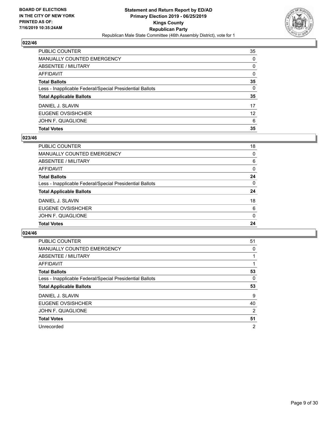

| <b>PUBLIC COUNTER</b>                                    | 35                |
|----------------------------------------------------------|-------------------|
| <b>MANUALLY COUNTED EMERGENCY</b>                        | $\Omega$          |
| ABSENTEE / MILITARY                                      | $\Omega$          |
| <b>AFFIDAVIT</b>                                         | $\Omega$          |
| <b>Total Ballots</b>                                     | 35                |
| Less - Inapplicable Federal/Special Presidential Ballots | 0                 |
| <b>Total Applicable Ballots</b>                          | 35                |
| DANIEL J. SLAVIN                                         | 17                |
| EUGENE OVSISHCHER                                        | $12 \overline{ }$ |
| JOHN F. QUAGLIONE                                        | 6                 |
| <b>Total Votes</b>                                       | 35                |

## **023/46**

| PUBLIC COUNTER                                           | 18       |
|----------------------------------------------------------|----------|
| <b>MANUALLY COUNTED EMERGENCY</b>                        | 0        |
| <b>ABSENTEE / MILITARY</b>                               | 6        |
| <b>AFFIDAVIT</b>                                         | $\Omega$ |
| <b>Total Ballots</b>                                     | 24       |
| Less - Inapplicable Federal/Special Presidential Ballots | $\Omega$ |
| <b>Total Applicable Ballots</b>                          | 24       |
| DANIEL J. SLAVIN                                         | 18       |
| EUGENE OVSISHCHER                                        | 6        |
| JOHN F. QUAGLIONE                                        | $\Omega$ |
| <b>Total Votes</b>                                       | 24       |
|                                                          |          |

| <b>PUBLIC COUNTER</b>                                    | 51             |
|----------------------------------------------------------|----------------|
| <b>MANUALLY COUNTED EMERGENCY</b>                        | 0              |
| ABSENTEE / MILITARY                                      |                |
| <b>AFFIDAVIT</b>                                         |                |
| <b>Total Ballots</b>                                     | 53             |
| Less - Inapplicable Federal/Special Presidential Ballots | 0              |
| <b>Total Applicable Ballots</b>                          | 53             |
| DANIEL J. SLAVIN                                         | 9              |
| EUGENE OVSISHCHER                                        | 40             |
| JOHN F. QUAGLIONE                                        | $\overline{2}$ |
| <b>Total Votes</b>                                       | 51             |
| Unrecorded                                               | $\overline{2}$ |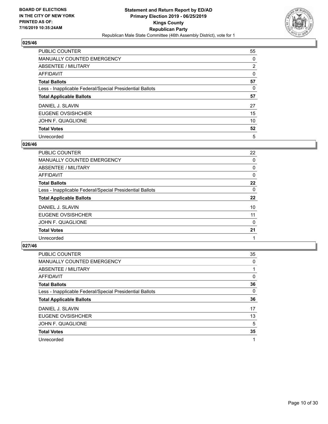

| PUBLIC COUNTER                                           | 55             |
|----------------------------------------------------------|----------------|
| <b>MANUALLY COUNTED EMERGENCY</b>                        | $\Omega$       |
| ABSENTEE / MILITARY                                      | $\overline{2}$ |
| AFFIDAVIT                                                | $\Omega$       |
| <b>Total Ballots</b>                                     | 57             |
| Less - Inapplicable Federal/Special Presidential Ballots | 0              |
| <b>Total Applicable Ballots</b>                          | 57             |
| DANIEL J. SLAVIN                                         | 27             |
| EUGENE OVSISHCHER                                        | 15             |
| JOHN F. QUAGLIONE                                        | 10             |
| <b>Total Votes</b>                                       | 52             |
| Unrecorded                                               | 5              |

#### **026/46**

| <b>PUBLIC COUNTER</b>                                    | 22       |
|----------------------------------------------------------|----------|
| <b>MANUALLY COUNTED EMERGENCY</b>                        | 0        |
| ABSENTEE / MILITARY                                      | 0        |
| AFFIDAVIT                                                | $\Omega$ |
| <b>Total Ballots</b>                                     | 22       |
| Less - Inapplicable Federal/Special Presidential Ballots | $\Omega$ |
| <b>Total Applicable Ballots</b>                          | 22       |
| DANIEL J. SLAVIN                                         | 10       |
| EUGENE OVSISHCHER                                        | 11       |
| JOHN F. QUAGLIONE                                        | 0        |
| <b>Total Votes</b>                                       | 21       |
| Unrecorded                                               |          |

| <b>PUBLIC COUNTER</b>                                    | 35       |
|----------------------------------------------------------|----------|
| <b>MANUALLY COUNTED EMERGENCY</b>                        | $\Omega$ |
| ABSENTEE / MILITARY                                      |          |
| <b>AFFIDAVIT</b>                                         | 0        |
| <b>Total Ballots</b>                                     | 36       |
| Less - Inapplicable Federal/Special Presidential Ballots | $\Omega$ |
| <b>Total Applicable Ballots</b>                          | 36       |
| DANIEL J. SLAVIN                                         | 17       |
| EUGENE OVSISHCHER                                        | 13       |
| JOHN F. QUAGLIONE                                        | 5        |
| <b>Total Votes</b>                                       | 35       |
| Unrecorded                                               |          |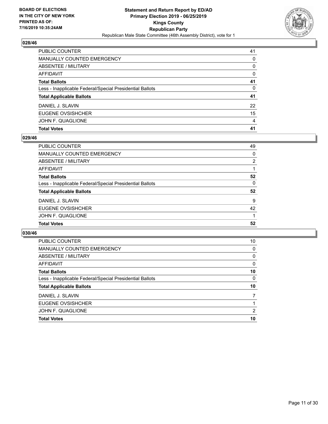

| <b>Total Votes</b>                                       | 41       |
|----------------------------------------------------------|----------|
| JOHN F. QUAGLIONE                                        | 4        |
| EUGENE OVSISHCHER                                        | 15       |
| DANIEL J. SLAVIN                                         | 22       |
| <b>Total Applicable Ballots</b>                          | 41       |
| Less - Inapplicable Federal/Special Presidential Ballots | 0        |
| <b>Total Ballots</b>                                     | 41       |
| <b>AFFIDAVIT</b>                                         | $\Omega$ |
| <b>ABSENTEE / MILITARY</b>                               | $\Omega$ |
| <b>MANUALLY COUNTED EMERGENCY</b>                        | $\Omega$ |
| PUBLIC COUNTER                                           | 41       |

## **029/46**

| <b>PUBLIC COUNTER</b>                                    | 49 |
|----------------------------------------------------------|----|
| <b>MANUALLY COUNTED EMERGENCY</b>                        | 0  |
| ABSENTEE / MILITARY                                      | 2  |
| <b>AFFIDAVIT</b>                                         |    |
| <b>Total Ballots</b>                                     | 52 |
| Less - Inapplicable Federal/Special Presidential Ballots | 0  |
| <b>Total Applicable Ballots</b>                          | 52 |
| DANIEL J. SLAVIN                                         | 9  |
| <b>EUGENE OVSISHCHER</b>                                 | 42 |
| JOHN F. QUAGLIONE                                        |    |
| <b>Total Votes</b>                                       | 52 |
|                                                          |    |

| <b>PUBLIC COUNTER</b>                                    | 10       |
|----------------------------------------------------------|----------|
| MANUALLY COUNTED EMERGENCY                               | 0        |
| ABSENTEE / MILITARY                                      | $\Omega$ |
| AFFIDAVIT                                                | $\Omega$ |
| <b>Total Ballots</b>                                     | 10       |
| Less - Inapplicable Federal/Special Presidential Ballots | $\Omega$ |
| <b>Total Applicable Ballots</b>                          | 10       |
| DANIEL J. SLAVIN                                         | 7        |
| EUGENE OVSISHCHER                                        |          |
| JOHN F. QUAGLIONE                                        | 2        |
| <b>Total Votes</b>                                       | 10       |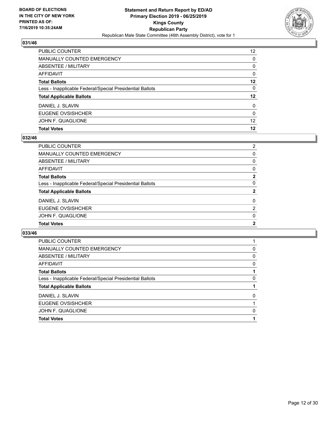

| PUBLIC COUNTER                                           | 12 <sup>2</sup> |
|----------------------------------------------------------|-----------------|
| <b>MANUALLY COUNTED EMERGENCY</b>                        | $\Omega$        |
| ABSENTEE / MILITARY                                      | $\Omega$        |
| <b>AFFIDAVIT</b>                                         | $\Omega$        |
| <b>Total Ballots</b>                                     | $12 \,$         |
| Less - Inapplicable Federal/Special Presidential Ballots | 0               |
| <b>Total Applicable Ballots</b>                          | 12              |
| DANIEL J. SLAVIN                                         | $\mathbf{0}$    |
| EUGENE OVSISHCHER                                        | $\Omega$        |
| JOHN F. QUAGLIONE                                        | 12 <sup>2</sup> |
| <b>Total Votes</b>                                       | 12              |

## **032/46**

| PUBLIC COUNTER                                           | $\overline{2}$ |
|----------------------------------------------------------|----------------|
| MANUALLY COUNTED EMERGENCY                               | 0              |
| ABSENTEE / MILITARY                                      | 0              |
| <b>AFFIDAVIT</b>                                         | $\Omega$       |
| <b>Total Ballots</b>                                     | $\mathbf{2}$   |
| Less - Inapplicable Federal/Special Presidential Ballots | $\Omega$       |
| <b>Total Applicable Ballots</b>                          | $\mathbf{2}$   |
| DANIEL J. SLAVIN                                         | $\Omega$       |
| EUGENE OVSISHCHER                                        | 2              |
| JOHN F. QUAGLIONE                                        | $\Omega$       |
| <b>Total Votes</b>                                       | $\mathbf{2}$   |

| <b>PUBLIC COUNTER</b>                                    |   |
|----------------------------------------------------------|---|
| <b>MANUALLY COUNTED EMERGENCY</b>                        | 0 |
| ABSENTEE / MILITARY                                      | 0 |
| AFFIDAVIT                                                | 0 |
| <b>Total Ballots</b>                                     |   |
| Less - Inapplicable Federal/Special Presidential Ballots | 0 |
| <b>Total Applicable Ballots</b>                          |   |
| DANIEL J. SLAVIN                                         | 0 |
| EUGENE OVSISHCHER                                        |   |
| JOHN F. QUAGLIONE                                        | 0 |
| <b>Total Votes</b>                                       |   |
|                                                          |   |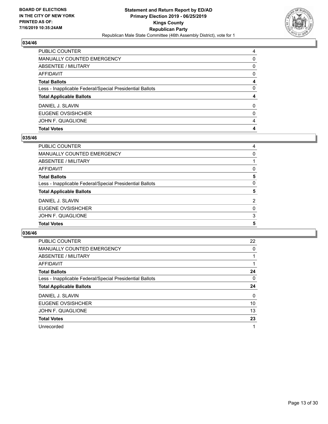

| PUBLIC COUNTER                                           | 4        |
|----------------------------------------------------------|----------|
| <b>MANUALLY COUNTED EMERGENCY</b>                        | 0        |
| <b>ABSENTEE / MILITARY</b>                               | $\Omega$ |
| <b>AFFIDAVIT</b>                                         | $\Omega$ |
| <b>Total Ballots</b>                                     | 4        |
| Less - Inapplicable Federal/Special Presidential Ballots | $\Omega$ |
| <b>Total Applicable Ballots</b>                          | 4        |
| DANIEL J. SLAVIN                                         | $\Omega$ |
| EUGENE OVSISHCHER                                        | 0        |
| JOHN F. QUAGLIONE                                        | 4        |
| <b>Total Votes</b>                                       | 4        |

## **035/46**

| PUBLIC COUNTER                                           | 4        |
|----------------------------------------------------------|----------|
| <b>MANUALLY COUNTED EMERGENCY</b>                        | 0        |
| ABSENTEE / MILITARY                                      |          |
| <b>AFFIDAVIT</b>                                         | $\Omega$ |
| <b>Total Ballots</b>                                     | 5        |
| Less - Inapplicable Federal/Special Presidential Ballots | $\Omega$ |
| <b>Total Applicable Ballots</b>                          | 5        |
| DANIEL J. SLAVIN                                         | 2        |
| EUGENE OVSISHCHER                                        | 0        |
| JOHN F. QUAGLIONE                                        | 3        |
| <b>Total Votes</b>                                       | 5        |
|                                                          |          |

| <b>PUBLIC COUNTER</b>                                    | 22       |
|----------------------------------------------------------|----------|
| <b>MANUALLY COUNTED EMERGENCY</b>                        | 0        |
| ABSENTEE / MILITARY                                      |          |
| <b>AFFIDAVIT</b>                                         |          |
| <b>Total Ballots</b>                                     | 24       |
| Less - Inapplicable Federal/Special Presidential Ballots | 0        |
| <b>Total Applicable Ballots</b>                          | 24       |
| DANIEL J. SLAVIN                                         | $\Omega$ |
| EUGENE OVSISHCHER                                        | 10       |
| JOHN F. QUAGLIONE                                        | 13       |
| <b>Total Votes</b>                                       | 23       |
| Unrecorded                                               | 1        |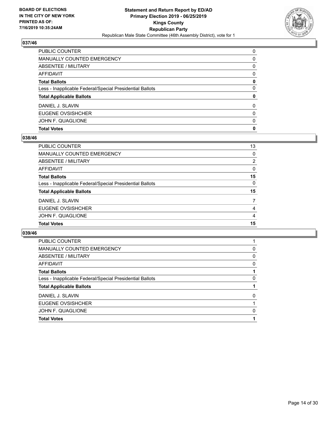

| PUBLIC COUNTER                                           | $\Omega$ |
|----------------------------------------------------------|----------|
| <b>MANUALLY COUNTED EMERGENCY</b>                        | 0        |
| <b>ABSENTEE / MILITARY</b>                               | $\Omega$ |
| <b>AFFIDAVIT</b>                                         | $\Omega$ |
| <b>Total Ballots</b>                                     | 0        |
| Less - Inapplicable Federal/Special Presidential Ballots | $\Omega$ |
| <b>Total Applicable Ballots</b>                          | 0        |
| DANIEL J. SLAVIN                                         | $\Omega$ |
| EUGENE OVSISHCHER                                        | $\Omega$ |
| JOHN F. QUAGLIONE                                        | $\Omega$ |
| <b>Total Votes</b>                                       | 0        |

## **038/46**

| PUBLIC COUNTER                                           | 13 |
|----------------------------------------------------------|----|
| <b>MANUALLY COUNTED EMERGENCY</b>                        | 0  |
| <b>ABSENTEE / MILITARY</b>                               | 2  |
| <b>AFFIDAVIT</b>                                         | 0  |
| <b>Total Ballots</b>                                     | 15 |
| Less - Inapplicable Federal/Special Presidential Ballots | 0  |
| <b>Total Applicable Ballots</b>                          | 15 |
| DANIEL J. SLAVIN                                         | 7  |
| EUGENE OVSISHCHER                                        | 4  |
| JOHN F. QUAGLIONE                                        | 4  |
| <b>Total Votes</b>                                       | 15 |

| <b>PUBLIC COUNTER</b>                                    |   |
|----------------------------------------------------------|---|
| <b>MANUALLY COUNTED EMERGENCY</b>                        | 0 |
| ABSENTEE / MILITARY                                      | 0 |
| AFFIDAVIT                                                | 0 |
| <b>Total Ballots</b>                                     |   |
| Less - Inapplicable Federal/Special Presidential Ballots | 0 |
| <b>Total Applicable Ballots</b>                          |   |
| DANIEL J. SLAVIN                                         | 0 |
| EUGENE OVSISHCHER                                        |   |
| JOHN F. QUAGLIONE                                        | 0 |
| <b>Total Votes</b>                                       |   |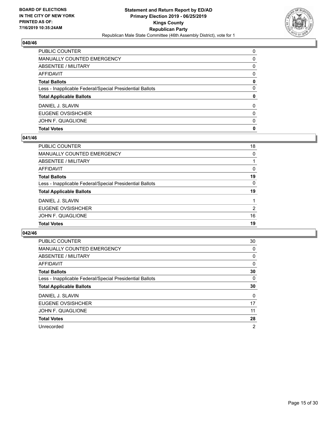

| PUBLIC COUNTER                                           | $\Omega$ |
|----------------------------------------------------------|----------|
| <b>MANUALLY COUNTED EMERGENCY</b>                        | 0        |
| <b>ABSENTEE / MILITARY</b>                               | $\Omega$ |
| <b>AFFIDAVIT</b>                                         | $\Omega$ |
| <b>Total Ballots</b>                                     | 0        |
| Less - Inapplicable Federal/Special Presidential Ballots | $\Omega$ |
| <b>Total Applicable Ballots</b>                          | 0        |
| DANIEL J. SLAVIN                                         | $\Omega$ |
| EUGENE OVSISHCHER                                        | $\Omega$ |
| JOHN F. QUAGLIONE                                        | $\Omega$ |
| <b>Total Votes</b>                                       | 0        |

## **041/46**

| PUBLIC COUNTER                                           | 18 |
|----------------------------------------------------------|----|
| <b>MANUALLY COUNTED EMERGENCY</b>                        | 0  |
| <b>ABSENTEE / MILITARY</b>                               |    |
| <b>AFFIDAVIT</b>                                         | 0  |
| <b>Total Ballots</b>                                     | 19 |
| Less - Inapplicable Federal/Special Presidential Ballots | 0  |
| <b>Total Applicable Ballots</b>                          | 19 |
| DANIEL J. SLAVIN                                         |    |
| EUGENE OVSISHCHER                                        | 2  |
| JOHN F. QUAGLIONE                                        | 16 |
| <b>Total Votes</b>                                       | 19 |
|                                                          |    |

| <b>PUBLIC COUNTER</b>                                    | 30             |
|----------------------------------------------------------|----------------|
| <b>MANUALLY COUNTED EMERGENCY</b>                        | 0              |
| ABSENTEE / MILITARY                                      | 0              |
| AFFIDAVIT                                                | 0              |
| <b>Total Ballots</b>                                     | 30             |
| Less - Inapplicable Federal/Special Presidential Ballots | 0              |
| <b>Total Applicable Ballots</b>                          | 30             |
| DANIEL J. SLAVIN                                         | 0              |
| EUGENE OVSISHCHER                                        | 17             |
| JOHN F. QUAGLIONE                                        | 11             |
| <b>Total Votes</b>                                       | 28             |
| Unrecorded                                               | $\overline{2}$ |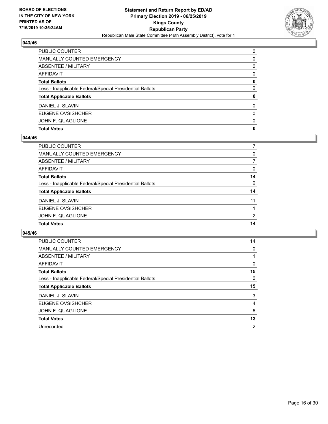

| PUBLIC COUNTER                                           | $\Omega$ |
|----------------------------------------------------------|----------|
| <b>MANUALLY COUNTED EMERGENCY</b>                        | 0        |
| <b>ABSENTEE / MILITARY</b>                               | $\Omega$ |
| <b>AFFIDAVIT</b>                                         | $\Omega$ |
| <b>Total Ballots</b>                                     | 0        |
| Less - Inapplicable Federal/Special Presidential Ballots | $\Omega$ |
| <b>Total Applicable Ballots</b>                          | 0        |
| DANIEL J. SLAVIN                                         | $\Omega$ |
| EUGENE OVSISHCHER                                        | $\Omega$ |
| JOHN F. QUAGLIONE                                        | $\Omega$ |
| <b>Total Votes</b>                                       | 0        |

## **044/46**

| PUBLIC COUNTER                                           |               |
|----------------------------------------------------------|---------------|
| <b>MANUALLY COUNTED EMERGENCY</b>                        | 0             |
| <b>ABSENTEE / MILITARY</b>                               | 7             |
| <b>AFFIDAVIT</b>                                         | 0             |
| <b>Total Ballots</b>                                     | 14            |
| Less - Inapplicable Federal/Special Presidential Ballots | 0             |
| <b>Total Applicable Ballots</b>                          | 14            |
| DANIEL J. SLAVIN                                         | 11            |
| EUGENE OVSISHCHER                                        | 1             |
| JOHN F. QUAGLIONE                                        | $\mathcal{P}$ |
| <b>Total Votes</b>                                       | 14            |
|                                                          |               |

| <b>PUBLIC COUNTER</b>                                    | 14 |
|----------------------------------------------------------|----|
| <b>MANUALLY COUNTED EMERGENCY</b>                        | 0  |
| ABSENTEE / MILITARY                                      |    |
| AFFIDAVIT                                                | 0  |
| <b>Total Ballots</b>                                     | 15 |
| Less - Inapplicable Federal/Special Presidential Ballots | 0  |
| <b>Total Applicable Ballots</b>                          | 15 |
| DANIEL J. SLAVIN                                         | 3  |
| EUGENE OVSISHCHER                                        | 4  |
| JOHN F. QUAGLIONE                                        | 6  |
|                                                          |    |
| <b>Total Votes</b>                                       | 13 |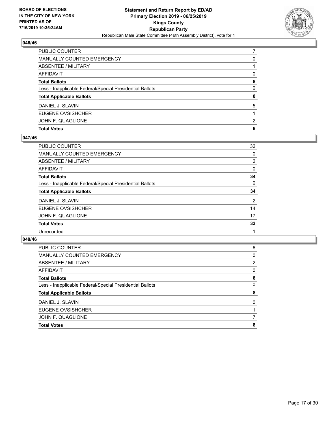

| PUBLIC COUNTER                                           |          |
|----------------------------------------------------------|----------|
| <b>MANUALLY COUNTED EMERGENCY</b>                        | 0        |
| <b>ABSENTEE / MILITARY</b>                               |          |
| <b>AFFIDAVIT</b>                                         | 0        |
| <b>Total Ballots</b>                                     | 8        |
| Less - Inapplicable Federal/Special Presidential Ballots | $\Omega$ |
| <b>Total Applicable Ballots</b>                          | 8        |
| DANIEL J. SLAVIN                                         | 5        |
| <b>EUGENE OVSISHCHER</b>                                 |          |
| JOHN F. QUAGLIONE                                        | 2        |
| <b>Total Votes</b>                                       | 8        |

## **047/46**

| PUBLIC COUNTER                                           | 32             |
|----------------------------------------------------------|----------------|
| <b>MANUALLY COUNTED EMERGENCY</b>                        | 0              |
| ABSENTEE / MILITARY                                      | $\overline{2}$ |
| AFFIDAVIT                                                | 0              |
| Total Ballots                                            | 34             |
| Less - Inapplicable Federal/Special Presidential Ballots | 0              |
| <b>Total Applicable Ballots</b>                          | 34             |
| DANIEL J. SLAVIN                                         | $\overline{2}$ |
| <b>EUGENE OVSISHCHER</b>                                 | 14             |
| JOHN F. QUAGLIONE                                        | 17             |
| <b>Total Votes</b>                                       | 33             |
| Unrecorded                                               |                |
|                                                          |                |

| <b>Total Votes</b>                                       | 8 |
|----------------------------------------------------------|---|
| JOHN F. QUAGLIONE                                        |   |
| EUGENE OVSISHCHER                                        |   |
| DANIEL J. SLAVIN                                         | 0 |
| <b>Total Applicable Ballots</b>                          | 8 |
| Less - Inapplicable Federal/Special Presidential Ballots | 0 |
| <b>Total Ballots</b>                                     | 8 |
| AFFIDAVIT                                                | 0 |
| ABSENTEE / MILITARY                                      | 2 |
| <b>MANUALLY COUNTED EMERGENCY</b>                        | 0 |
| <b>PUBLIC COUNTER</b>                                    | 6 |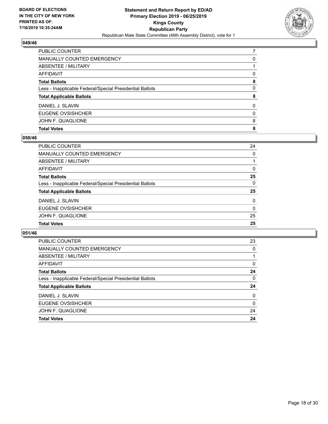

| PUBLIC COUNTER                                           |          |
|----------------------------------------------------------|----------|
| <b>MANUALLY COUNTED EMERGENCY</b>                        | 0        |
| ABSENTEE / MILITARY                                      |          |
| <b>AFFIDAVIT</b>                                         | 0        |
| <b>Total Ballots</b>                                     | 8        |
| Less - Inapplicable Federal/Special Presidential Ballots | $\Omega$ |
| <b>Total Applicable Ballots</b>                          | 8        |
| DANIEL J. SLAVIN                                         | $\Omega$ |
| EUGENE OVSISHCHER                                        | 0        |
| JOHN F. QUAGLIONE                                        | 8        |
| <b>Total Votes</b>                                       | 8        |

## **050/46**

| PUBLIC COUNTER                                           | 24       |
|----------------------------------------------------------|----------|
| MANUALLY COUNTED EMERGENCY                               | 0        |
| <b>ABSENTEE / MILITARY</b>                               |          |
| <b>AFFIDAVIT</b>                                         | $\Omega$ |
| <b>Total Ballots</b>                                     | 25       |
| Less - Inapplicable Federal/Special Presidential Ballots | $\Omega$ |
| <b>Total Applicable Ballots</b>                          | 25       |
| DANIEL J. SLAVIN                                         | $\Omega$ |
| EUGENE OVSISHCHER                                        | 0        |
| JOHN F. QUAGLIONE                                        | 25       |
| <b>Total Votes</b>                                       | 25       |
|                                                          |          |

| <b>PUBLIC COUNTER</b>                                    | 23       |
|----------------------------------------------------------|----------|
| <b>MANUALLY COUNTED EMERGENCY</b>                        | $\Omega$ |
| ABSENTEE / MILITARY                                      |          |
| AFFIDAVIT                                                | $\Omega$ |
| <b>Total Ballots</b>                                     | 24       |
| Less - Inapplicable Federal/Special Presidential Ballots | 0        |
| <b>Total Applicable Ballots</b>                          | 24       |
| DANIEL J. SLAVIN                                         | $\Omega$ |
| EUGENE OVSISHCHER                                        | $\Omega$ |
| JOHN F. QUAGLIONE                                        | 24       |
| <b>Total Votes</b>                                       | 24       |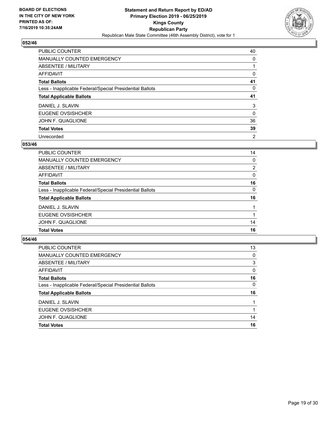

| PUBLIC COUNTER                                           | 40       |
|----------------------------------------------------------|----------|
| MANUALLY COUNTED EMERGENCY                               | 0        |
| ABSENTEE / MILITARY                                      |          |
| AFFIDAVIT                                                | 0        |
| <b>Total Ballots</b>                                     | 41       |
| Less - Inapplicable Federal/Special Presidential Ballots | 0        |
| <b>Total Applicable Ballots</b>                          | 41       |
|                                                          |          |
| DANIEL J. SLAVIN                                         | 3        |
| <b>EUGENE OVSISHCHER</b>                                 | $\Omega$ |
| JOHN F. QUAGLIONE                                        | 36       |
| <b>Total Votes</b>                                       | 39       |

#### **053/46**

| <b>PUBLIC COUNTER</b>                                    | 14             |
|----------------------------------------------------------|----------------|
| <b>MANUALLY COUNTED EMERGENCY</b>                        | $\Omega$       |
| ABSENTEE / MILITARY                                      | $\overline{2}$ |
| AFFIDAVIT                                                | 0              |
| <b>Total Ballots</b>                                     | 16             |
| Less - Inapplicable Federal/Special Presidential Ballots | $\Omega$       |
| <b>Total Applicable Ballots</b>                          | 16             |
| DANIEL J. SLAVIN                                         |                |
| EUGENE OVSISHCHER                                        |                |
| JOHN F. QUAGLIONE                                        | 14             |
| <b>Total Votes</b>                                       | 16             |

| 13       |
|----------|
| 0        |
| 3        |
| $\Omega$ |
| 16       |
| 0        |
| 16       |
|          |
|          |
| 14       |
| 16       |
|          |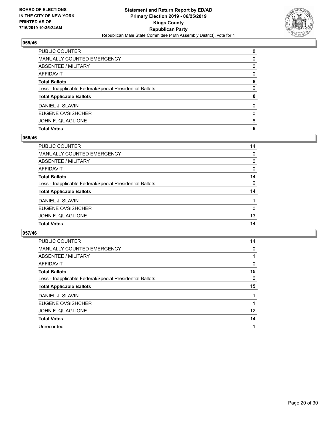

| PUBLIC COUNTER                                           | 8        |
|----------------------------------------------------------|----------|
| <b>MANUALLY COUNTED EMERGENCY</b>                        | 0        |
| <b>ABSENTEE / MILITARY</b>                               | $\Omega$ |
| <b>AFFIDAVIT</b>                                         | $\Omega$ |
| <b>Total Ballots</b>                                     | 8        |
| Less - Inapplicable Federal/Special Presidential Ballots | $\Omega$ |
| <b>Total Applicable Ballots</b>                          | 8        |
| DANIEL J. SLAVIN                                         | $\Omega$ |
| EUGENE OVSISHCHER                                        | 0        |
| JOHN F. QUAGLIONE                                        | 8        |
| <b>Total Votes</b>                                       | 8        |

## **056/46**

| PUBLIC COUNTER                                           | 14           |
|----------------------------------------------------------|--------------|
| <b>MANUALLY COUNTED EMERGENCY</b>                        | $\mathbf{0}$ |
| <b>ABSENTEE / MILITARY</b>                               | 0            |
| <b>AFFIDAVIT</b>                                         | 0            |
| <b>Total Ballots</b>                                     | 14           |
| Less - Inapplicable Federal/Special Presidential Ballots | 0            |
| <b>Total Applicable Ballots</b>                          | 14           |
| DANIEL J. SLAVIN                                         |              |
| EUGENE OVSISHCHER                                        | 0            |
| JOHN F. QUAGLIONE                                        | 13           |
| <b>Total Votes</b>                                       | 14           |
|                                                          |              |

| <b>PUBLIC COUNTER</b>                                    | 14 |
|----------------------------------------------------------|----|
| <b>MANUALLY COUNTED EMERGENCY</b>                        | 0  |
| ABSENTEE / MILITARY                                      |    |
| AFFIDAVIT                                                | 0  |
| <b>Total Ballots</b>                                     | 15 |
| Less - Inapplicable Federal/Special Presidential Ballots | 0  |
| <b>Total Applicable Ballots</b>                          | 15 |
| DANIEL J. SLAVIN                                         |    |
| EUGENE OVSISHCHER                                        |    |
| JOHN F. QUAGLIONE                                        | 12 |
| <b>Total Votes</b>                                       | 14 |
| Unrecorded                                               |    |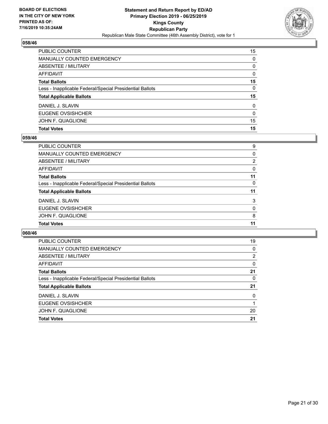

| <b>PUBLIC COUNTER</b>                                    | 15           |
|----------------------------------------------------------|--------------|
| MANUALLY COUNTED EMERGENCY                               | $\Omega$     |
| ABSENTEE / MILITARY                                      | $\Omega$     |
| AFFIDAVIT                                                | $\Omega$     |
| <b>Total Ballots</b>                                     | 15           |
| Less - Inapplicable Federal/Special Presidential Ballots | 0            |
| <b>Total Applicable Ballots</b>                          | 15           |
| DANIEL J. SLAVIN                                         | $\mathbf{0}$ |
| EUGENE OVSISHCHER                                        | $\Omega$     |
| JOHN F. QUAGLIONE                                        | 15           |
| <b>Total Votes</b>                                       | 15           |

## **059/46**

| PUBLIC COUNTER                                           | 9              |
|----------------------------------------------------------|----------------|
| <b>MANUALLY COUNTED EMERGENCY</b>                        | 0              |
| ABSENTEE / MILITARY                                      | $\overline{2}$ |
| <b>AFFIDAVIT</b>                                         | $\Omega$       |
| <b>Total Ballots</b>                                     | 11             |
| Less - Inapplicable Federal/Special Presidential Ballots | $\Omega$       |
| <b>Total Applicable Ballots</b>                          | 11             |
| DANIEL J. SLAVIN                                         | 3              |
| EUGENE OVSISHCHER                                        | 0              |
| JOHN F. QUAGLIONE                                        | 8              |
| <b>Total Votes</b>                                       | 11             |
|                                                          |                |

| <b>PUBLIC COUNTER</b>                                    | 19       |
|----------------------------------------------------------|----------|
| MANUALLY COUNTED EMERGENCY                               | $\Omega$ |
| ABSENTEE / MILITARY                                      | 2        |
| AFFIDAVIT                                                | $\Omega$ |
| <b>Total Ballots</b>                                     | 21       |
| Less - Inapplicable Federal/Special Presidential Ballots | 0        |
| <b>Total Applicable Ballots</b>                          | 21       |
| DANIEL J. SLAVIN                                         | $\Omega$ |
| EUGENE OVSISHCHER                                        |          |
| JOHN F. QUAGLIONE                                        | 20       |
| <b>Total Votes</b>                                       | 21       |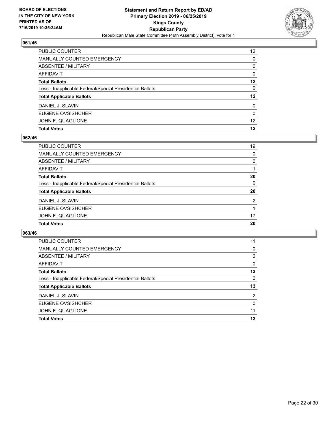

| PUBLIC COUNTER                                           | 12 <sup>2</sup> |
|----------------------------------------------------------|-----------------|
| <b>MANUALLY COUNTED EMERGENCY</b>                        | $\Omega$        |
| ABSENTEE / MILITARY                                      | $\Omega$        |
| <b>AFFIDAVIT</b>                                         | $\Omega$        |
| <b>Total Ballots</b>                                     | $12 \,$         |
| Less - Inapplicable Federal/Special Presidential Ballots | $\Omega$        |
| <b>Total Applicable Ballots</b>                          | $12 \,$         |
| DANIEL J. SLAVIN                                         | $\mathbf{0}$    |
| EUGENE OVSISHCHER                                        | $\Omega$        |
| JOHN F. QUAGLIONE                                        | 12              |
| <b>Total Votes</b>                                       | 12              |

## **062/46**

| PUBLIC COUNTER                                           | 19       |
|----------------------------------------------------------|----------|
| <b>MANUALLY COUNTED EMERGENCY</b>                        | $\Omega$ |
| <b>ABSENTEE / MILITARY</b>                               | $\Omega$ |
| <b>AFFIDAVIT</b>                                         |          |
| <b>Total Ballots</b>                                     | 20       |
| Less - Inapplicable Federal/Special Presidential Ballots | $\Omega$ |
| <b>Total Applicable Ballots</b>                          | 20       |
| DANIEL J. SLAVIN                                         | 2        |
| EUGENE OVSISHCHER                                        |          |
| JOHN F. QUAGLIONE                                        | 17       |
| <b>Total Votes</b>                                       | 20       |
|                                                          |          |

| <b>PUBLIC COUNTER</b>                                    | 11             |
|----------------------------------------------------------|----------------|
| MANUALLY COUNTED EMERGENCY                               | 0              |
| ABSENTEE / MILITARY                                      | 2              |
| AFFIDAVIT                                                | $\Omega$       |
| <b>Total Ballots</b>                                     | 13             |
| Less - Inapplicable Federal/Special Presidential Ballots | $\Omega$       |
| <b>Total Applicable Ballots</b>                          | 13             |
| DANIEL J. SLAVIN                                         | $\overline{2}$ |
| EUGENE OVSISHCHER                                        | $\Omega$       |
| JOHN F. QUAGLIONE                                        | 11             |
| <b>Total Votes</b>                                       | 13             |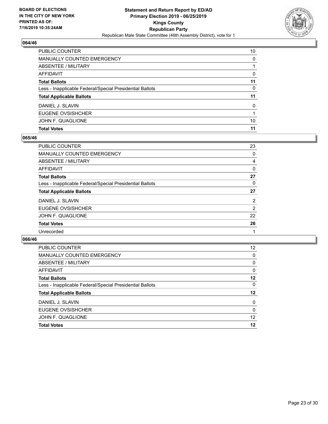

| <b>Total Ballots</b>                                     | 11           |
|----------------------------------------------------------|--------------|
| Less - Inapplicable Federal/Special Presidential Ballots | 0            |
| <b>Total Applicable Ballots</b>                          | 11           |
| DANIEL J. SLAVIN                                         | $\mathbf{0}$ |
| EUGENE OVSISHCHER                                        |              |
|                                                          |              |
| JOHN F. QUAGLIONE                                        | 10           |

## **065/46**

| PUBLIC COUNTER                                           | 23             |
|----------------------------------------------------------|----------------|
| <b>MANUALLY COUNTED EMERGENCY</b>                        | 0              |
| ABSENTEE / MILITARY                                      | 4              |
| AFFIDAVIT                                                | $\Omega$       |
| <b>Total Ballots</b>                                     | 27             |
| Less - Inapplicable Federal/Special Presidential Ballots | 0              |
| <b>Total Applicable Ballots</b>                          | 27             |
| DANIEL J. SLAVIN                                         | $\overline{2}$ |
| <b>EUGENE OVSISHCHER</b>                                 | 2              |
| JOHN F. QUAGLIONE                                        | 22             |
| <b>Total Votes</b>                                       | 26             |
| Unrecorded                                               |                |
|                                                          |                |

| EUGENE OVSISHCHER                                        | $\Omega$ |
|----------------------------------------------------------|----------|
| DANIEL J. SLAVIN                                         | $\Omega$ |
| <b>Total Applicable Ballots</b>                          | $12 \,$  |
| Less - Inapplicable Federal/Special Presidential Ballots | $\Omega$ |
| <b>Total Ballots</b>                                     | 12       |
| AFFIDAVIT                                                | $\Omega$ |
| ABSENTEE / MILITARY                                      | $\Omega$ |
| <b>MANUALLY COUNTED EMERGENCY</b>                        | $\Omega$ |
| <b>PUBLIC COUNTER</b>                                    | 12       |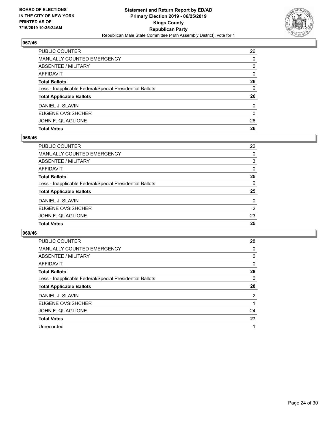

| PUBLIC COUNTER                                           | 26           |
|----------------------------------------------------------|--------------|
| <b>MANUALLY COUNTED EMERGENCY</b>                        | $\Omega$     |
| ABSENTEE / MILITARY                                      | 0            |
| <b>AFFIDAVIT</b>                                         | $\Omega$     |
| <b>Total Ballots</b>                                     | 26           |
| Less - Inapplicable Federal/Special Presidential Ballots | 0            |
| <b>Total Applicable Ballots</b>                          | 26           |
| DANIEL J. SLAVIN                                         | $\mathbf{0}$ |
| EUGENE OVSISHCHER                                        | $\Omega$     |
| JOHN F. QUAGLIONE                                        | 26           |
| <b>Total Votes</b>                                       | 26           |

## **068/46**

| PUBLIC COUNTER                                           | 22             |
|----------------------------------------------------------|----------------|
| <b>MANUALLY COUNTED EMERGENCY</b>                        | $\Omega$       |
| <b>ABSENTEE / MILITARY</b>                               | 3              |
| <b>AFFIDAVIT</b>                                         | $\mathbf{0}$   |
| <b>Total Ballots</b>                                     | 25             |
| Less - Inapplicable Federal/Special Presidential Ballots | $\Omega$       |
| <b>Total Applicable Ballots</b>                          | 25             |
| DANIEL J. SLAVIN                                         | $\Omega$       |
| <b>EUGENE OVSISHCHER</b>                                 | $\overline{2}$ |
| JOHN F. QUAGLIONE                                        | 23             |
| <b>Total Votes</b>                                       | 25             |
|                                                          |                |

| <b>PUBLIC COUNTER</b>                                    | 28             |
|----------------------------------------------------------|----------------|
| <b>MANUALLY COUNTED EMERGENCY</b>                        | 0              |
| ABSENTEE / MILITARY                                      | 0              |
| AFFIDAVIT                                                | $\Omega$       |
| <b>Total Ballots</b>                                     | 28             |
| Less - Inapplicable Federal/Special Presidential Ballots | 0              |
| <b>Total Applicable Ballots</b>                          | 28             |
| DANIEL J. SLAVIN                                         | $\overline{2}$ |
| EUGENE OVSISHCHER                                        |                |
| JOHN F. QUAGLIONE                                        | 24             |
| <b>Total Votes</b>                                       | 27             |
| Unrecorded                                               |                |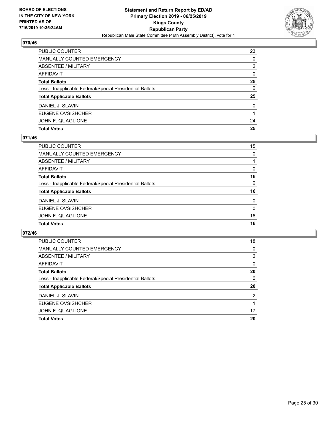

| PUBLIC COUNTER                                           | 23       |
|----------------------------------------------------------|----------|
| <b>MANUALLY COUNTED EMERGENCY</b>                        | $\Omega$ |
| ABSENTEE / MILITARY                                      | 2        |
| <b>AFFIDAVIT</b>                                         | $\Omega$ |
| <b>Total Ballots</b>                                     | 25       |
| Less - Inapplicable Federal/Special Presidential Ballots | 0        |
| <b>Total Applicable Ballots</b>                          | 25       |
| DANIEL J. SLAVIN                                         | $\Omega$ |
| EUGENE OVSISHCHER                                        |          |
| JOHN F. QUAGLIONE                                        | 24       |
| <b>Total Votes</b>                                       | 25       |

## **071/46**

| PUBLIC COUNTER                                           | 15           |
|----------------------------------------------------------|--------------|
| MANUALLY COUNTED EMERGENCY                               | $\Omega$     |
| <b>ABSENTEE / MILITARY</b>                               |              |
| AFFIDAVIT                                                | $\Omega$     |
| <b>Total Ballots</b>                                     | 16           |
| Less - Inapplicable Federal/Special Presidential Ballots | $\mathbf{0}$ |
| <b>Total Applicable Ballots</b>                          | 16           |
| DANIEL J. SLAVIN                                         | $\mathbf{0}$ |
| <b>EUGENE OVSISHCHER</b>                                 | $\mathbf{0}$ |
| JOHN F. QUAGLIONE                                        | 16           |
| <b>Total Votes</b>                                       | 16           |
|                                                          |              |

| <b>PUBLIC COUNTER</b>                                    | 18             |
|----------------------------------------------------------|----------------|
| MANUALLY COUNTED EMERGENCY                               | 0              |
| ABSENTEE / MILITARY                                      | 2              |
| AFFIDAVIT                                                | $\Omega$       |
| <b>Total Ballots</b>                                     | 20             |
| Less - Inapplicable Federal/Special Presidential Ballots | $\Omega$       |
| <b>Total Applicable Ballots</b>                          | 20             |
| DANIEL J. SLAVIN                                         | $\overline{2}$ |
| EUGENE OVSISHCHER                                        |                |
| JOHN F. QUAGLIONE                                        | 17             |
| <b>Total Votes</b>                                       | 20             |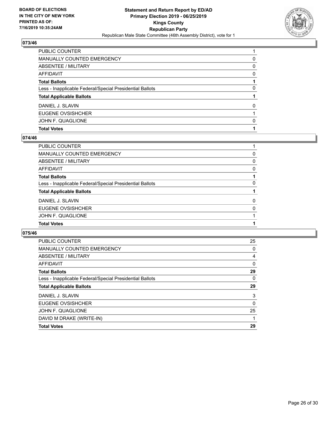

| PUBLIC COUNTER                                           |          |
|----------------------------------------------------------|----------|
| <b>MANUALLY COUNTED EMERGENCY</b>                        | 0        |
| <b>ABSENTEE / MILITARY</b>                               | $\Omega$ |
| <b>AFFIDAVIT</b>                                         | $\Omega$ |
| <b>Total Ballots</b>                                     |          |
| Less - Inapplicable Federal/Special Presidential Ballots | 0        |
| <b>Total Applicable Ballots</b>                          |          |
| DANIEL J. SLAVIN                                         | $\Omega$ |
| EUGENE OVSISHCHER                                        |          |
| JOHN F. QUAGLIONE                                        | 0        |
| <b>Total Votes</b>                                       |          |

## **074/46**

| PUBLIC COUNTER                                           |          |
|----------------------------------------------------------|----------|
| MANUALLY COUNTED EMERGENCY                               | 0        |
| ABSENTEE / MILITARY                                      | 0        |
| AFFIDAVIT                                                | $\Omega$ |
| Total Ballots                                            |          |
| Less - Inapplicable Federal/Special Presidential Ballots | $\Omega$ |
| <b>Total Applicable Ballots</b>                          |          |
| DANIEL J. SLAVIN                                         | $\Omega$ |
| <b>EUGENE OVSISHCHER</b>                                 | 0        |
| JOHN F. QUAGLIONE                                        |          |
| <b>Total Votes</b>                                       |          |
|                                                          |          |

| PUBLIC COUNTER                                           | 25       |
|----------------------------------------------------------|----------|
| <b>MANUALLY COUNTED EMERGENCY</b>                        | 0        |
| ABSENTEE / MILITARY                                      | 4        |
| <b>AFFIDAVIT</b>                                         | 0        |
| <b>Total Ballots</b>                                     | 29       |
| Less - Inapplicable Federal/Special Presidential Ballots | $\Omega$ |
| <b>Total Applicable Ballots</b>                          | 29       |
| DANIEL J. SLAVIN                                         | 3        |
| EUGENE OVSISHCHER                                        | $\Omega$ |
| JOHN F. QUAGLIONE                                        | 25       |
| DAVID M DRAKE (WRITE-IN)                                 |          |
| <b>Total Votes</b>                                       | 29       |
|                                                          |          |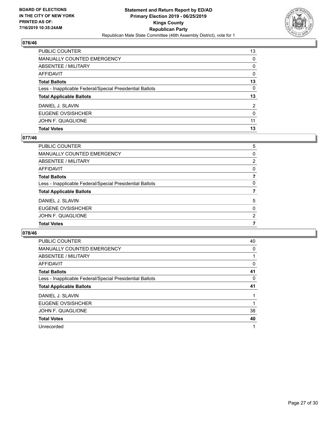

| PUBLIC COUNTER                                           | 13           |
|----------------------------------------------------------|--------------|
| <b>MANUALLY COUNTED EMERGENCY</b>                        | $\Omega$     |
| <b>ABSENTEE / MILITARY</b>                               | $\Omega$     |
| <b>AFFIDAVIT</b>                                         | $\Omega$     |
| <b>Total Ballots</b>                                     | 13           |
| Less - Inapplicable Federal/Special Presidential Ballots | $\mathbf{0}$ |
| <b>Total Applicable Ballots</b>                          | 13           |
| DANIEL J. SLAVIN                                         | 2            |
| EUGENE OVSISHCHER                                        | $\Omega$     |
| JOHN F. QUAGLIONE                                        | 11           |
| <b>Total Votes</b>                                       | 13           |

## **077/46**

| PUBLIC COUNTER                                           | 5        |
|----------------------------------------------------------|----------|
| <b>MANUALLY COUNTED EMERGENCY</b>                        | $\Omega$ |
| ABSENTEE / MILITARY                                      | 2        |
| <b>AFFIDAVIT</b>                                         | $\Omega$ |
| <b>Total Ballots</b>                                     | 7        |
| Less - Inapplicable Federal/Special Presidential Ballots | $\Omega$ |
| <b>Total Applicable Ballots</b>                          |          |
| DANIEL J. SLAVIN                                         | 5        |
| <b>EUGENE OVSISHCHER</b>                                 | 0        |
| JOHN F. QUAGLIONE                                        | 2        |
| <b>Total Votes</b>                                       |          |
|                                                          |          |

| PUBLIC COUNTER                                           | 40 |
|----------------------------------------------------------|----|
| <b>MANUALLY COUNTED EMERGENCY</b>                        | 0  |
| ABSENTEE / MILITARY                                      |    |
| AFFIDAVIT                                                | 0  |
| <b>Total Ballots</b>                                     | 41 |
| Less - Inapplicable Federal/Special Presidential Ballots | 0  |
| <b>Total Applicable Ballots</b>                          | 41 |
| DANIEL J. SLAVIN                                         |    |
| EUGENE OVSISHCHER                                        |    |
| JOHN F. QUAGLIONE                                        | 38 |
| <b>Total Votes</b>                                       | 40 |
| Unrecorded                                               |    |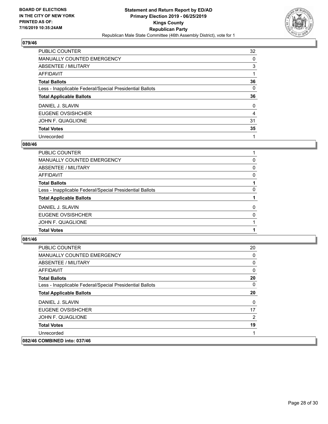

| <b>PUBLIC COUNTER</b>                                    | 32       |
|----------------------------------------------------------|----------|
| MANUALLY COUNTED EMERGENCY                               | 0        |
| ABSENTEE / MILITARY                                      | 3        |
| AFFIDAVIT                                                |          |
| <b>Total Ballots</b>                                     | 36       |
| Less - Inapplicable Federal/Special Presidential Ballots | 0        |
| <b>Total Applicable Ballots</b>                          | 36       |
| DANIEL J. SLAVIN                                         | $\Omega$ |
| EUGENE OVSISHCHER                                        | 4        |
| JOHN F. QUAGLIONE                                        | 31       |
| <b>Total Votes</b>                                       | 35       |
| Unrecorded                                               |          |

#### **080/46**

| PUBLIC COUNTER                                           |          |
|----------------------------------------------------------|----------|
| <b>MANUALLY COUNTED EMERGENCY</b>                        | 0        |
| <b>ABSENTEE / MILITARY</b>                               | 0        |
| <b>AFFIDAVIT</b>                                         | 0        |
| <b>Total Ballots</b>                                     |          |
| Less - Inapplicable Federal/Special Presidential Ballots | $\Omega$ |
| <b>Total Applicable Ballots</b>                          |          |
| DANIEL J. SLAVIN                                         | $\Omega$ |
| <b>EUGENE OVSISHCHER</b>                                 | 0        |
| JOHN F. QUAGLIONE                                        |          |
| <b>Total Votes</b>                                       |          |
|                                                          |          |

| <b>PUBLIC COUNTER</b>                                    | 20             |
|----------------------------------------------------------|----------------|
| MANUALLY COUNTED EMERGENCY                               | 0              |
| <b>ABSENTEE / MILITARY</b>                               | 0              |
| AFFIDAVIT                                                | 0              |
| <b>Total Ballots</b>                                     | 20             |
| Less - Inapplicable Federal/Special Presidential Ballots | 0              |
| <b>Total Applicable Ballots</b>                          | 20             |
| DANIEL J. SLAVIN                                         | 0              |
| EUGENE OVSISHCHER                                        | 17             |
| JOHN F. QUAGLIONE                                        | $\overline{2}$ |
| <b>Total Votes</b>                                       | 19             |
| Unrecorded                                               |                |
| 082/46 COMBINED into: 037/46                             |                |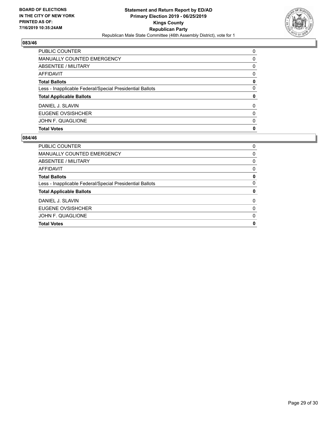

| PUBLIC COUNTER                                           | $\Omega$ |
|----------------------------------------------------------|----------|
| <b>MANUALLY COUNTED EMERGENCY</b>                        | $\Omega$ |
| ABSENTEE / MILITARY                                      | $\Omega$ |
| <b>AFFIDAVIT</b>                                         | $\Omega$ |
| <b>Total Ballots</b>                                     | 0        |
| Less - Inapplicable Federal/Special Presidential Ballots | $\Omega$ |
| <b>Total Applicable Ballots</b>                          | 0        |
| DANIEL J. SLAVIN                                         | $\Omega$ |
| <b>EUGENE OVSISHCHER</b>                                 | 0        |
| JOHN F. QUAGLIONE                                        | $\Omega$ |
| <b>Total Votes</b>                                       | 0        |

| PUBLIC COUNTER                                           | 0        |
|----------------------------------------------------------|----------|
| <b>MANUALLY COUNTED EMERGENCY</b>                        | 0        |
| ABSENTEE / MILITARY                                      | 0        |
| AFFIDAVIT                                                | 0        |
| <b>Total Ballots</b>                                     | 0        |
| Less - Inapplicable Federal/Special Presidential Ballots | 0        |
| <b>Total Applicable Ballots</b>                          | 0        |
| DANIEL J. SLAVIN                                         | $\Omega$ |
| EUGENE OVSISHCHER                                        | 0        |
| JOHN F. QUAGLIONE                                        | 0        |
| <b>Total Votes</b>                                       | 0        |
|                                                          |          |